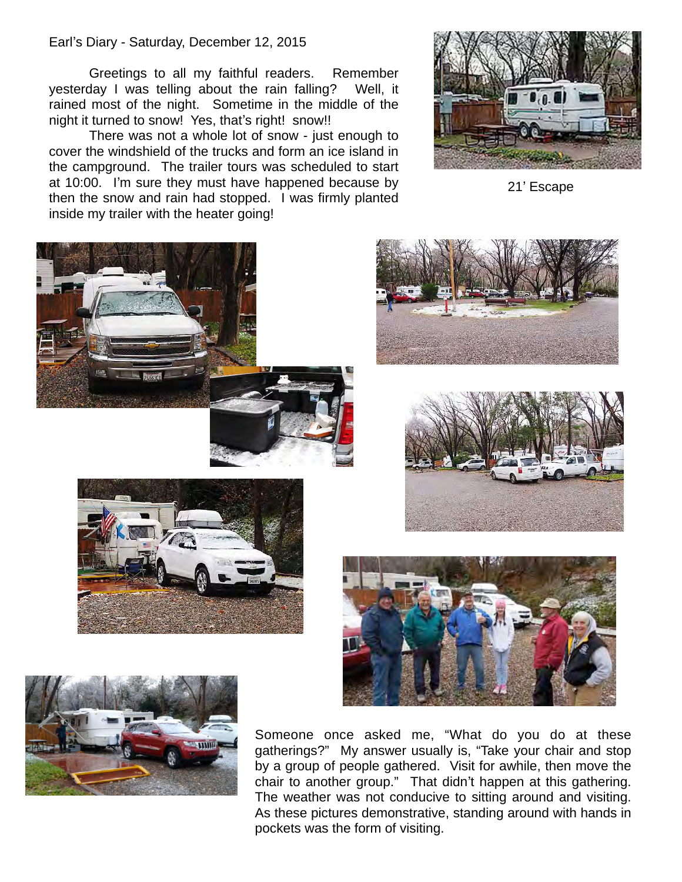## Earl's Diary - Saturday, December 12, 2015

Greetings to all my faithful readers. Remember yesterday I was telling about the rain falling? Well, it rained most of the night. Sometime in the middle of the night it turned to snow! Yes, that's right! snow!!

There was not a whole lot of snow - just enough to cover the windshield of the trucks and form an ice island in the campground. The trailer tours was scheduled to start at 10:00. I'm sure they must have happened because by then the snow and rain had stopped. I was firmly planted inside my trailer with the heater going!



21' Escape













Someone once asked me, "What do you do at these gatherings?" My answer usually is, "Take your chair and stop by a group of people gathered. Visit for awhile, then move the chair to another group." That didn't happen at this gathering. The weather was not conducive to sitting around and visiting. As these pictures demonstrative, standing around with hands in pockets was the form of visiting.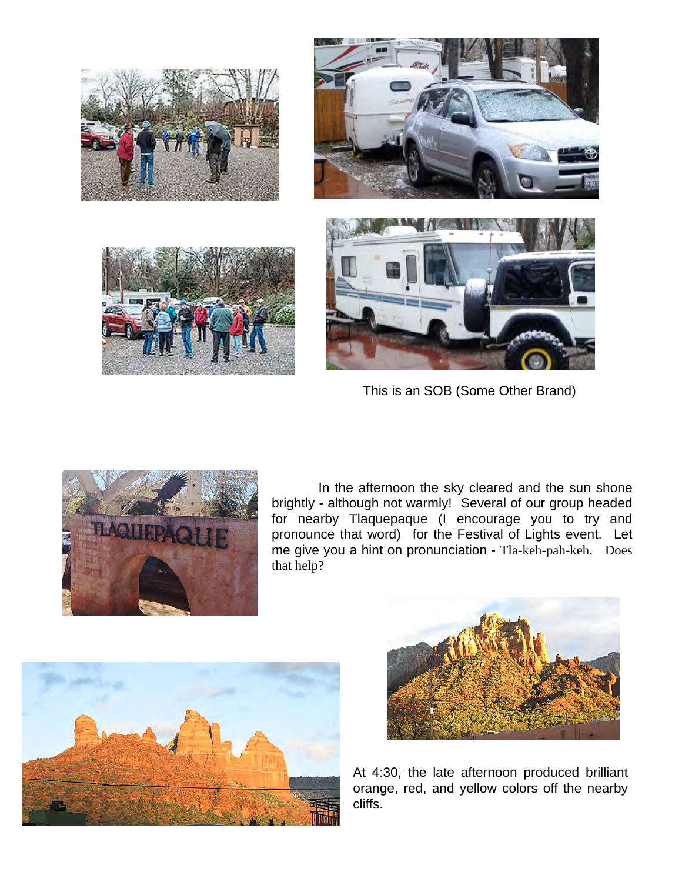







This is an SOB (Some Other Brand)



In the afternoon the sky cleared and the sun shone brightly - although not warmly! Several of our group headed for nearby Tlaquepaque (I encourage you to try and pronounce that word) for the Festival of Lights event. Let me give you a hint on pronunciation - Tla-keh-pah-keh. Does that help?





At 4:30, the late afternoon produced brilliant orange, red, and yellow colors off the nearby cliffs.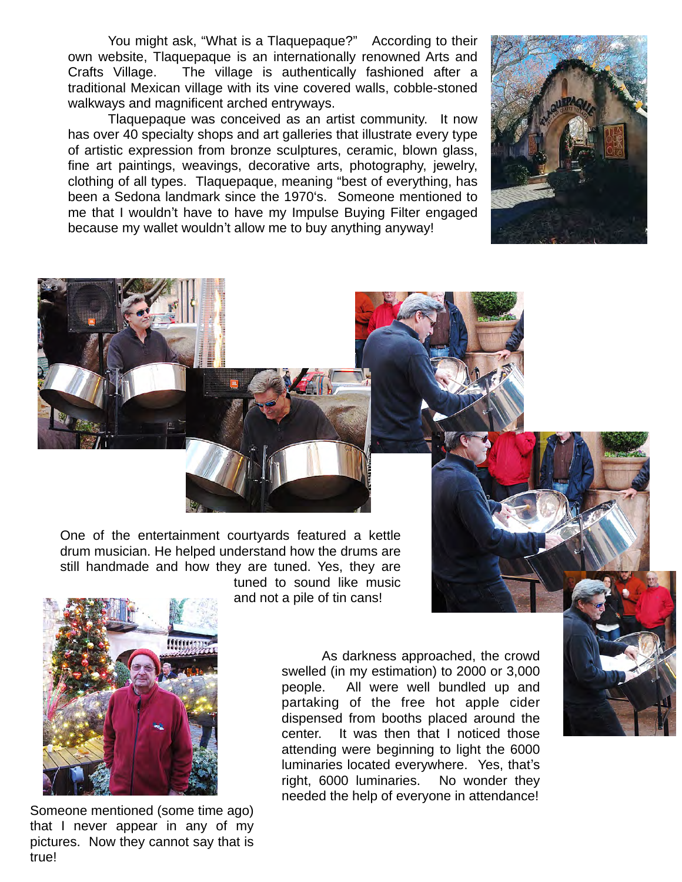You might ask, "What is a Tlaquepaque?" According to their own website, Tlaquepaque is an internationally renowned Arts and Crafts Village. The village is authentically fashioned after a traditional Mexican village with its vine covered walls, cobble-stoned walkways and magnificent arched entryways.

Tlaquepaque was conceived as an artist community. It now has over 40 specialty shops and art galleries that illustrate every type of artistic expression from bronze sculptures, ceramic, blown glass, fine art paintings, weavings, decorative arts, photography, jewelry, clothing of all types. Tlaquepaque, meaning "best of everything, has been a Sedona landmark since the 1970ʻs. Someone mentioned to me that I wouldn't have to have my Impulse Buying Filter engaged because my wallet wouldn't allow me to buy anything anyway!





One of the entertainment courtyards featured a kettle drum musician. He helped understand how the drums are still handmade and how they are tuned. Yes, they are tuned to sound like music

and not a pile of tin cans!



Someone mentioned (some time ago) that I never appear in any of my pictures. Now they cannot say that is true!

As darkness approached, the crowd swelled (in my estimation) to 2000 or 3,000 people. All were well bundled up and partaking of the free hot apple cider dispensed from booths placed around the center. It was then that I noticed those attending were beginning to light the 6000 luminaries located everywhere. Yes, that's right, 6000 luminaries. No wonder they needed the help of everyone in attendance!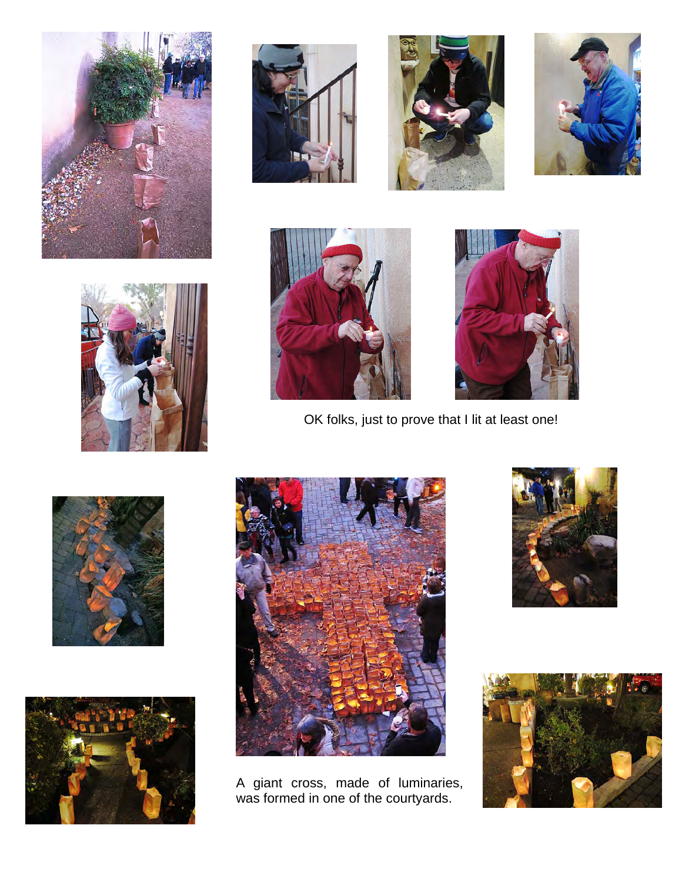













OK folks, just to prove that I lit at least one!







A giant cross, made of luminaries, was formed in one of the courtyards.